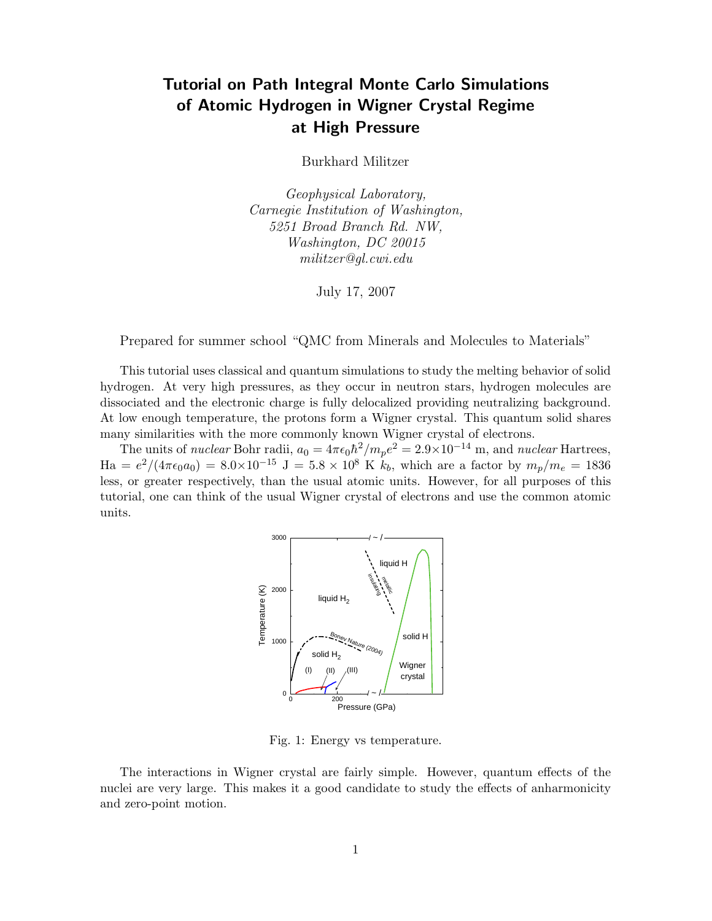# Tutorial on Path Integral Monte Carlo Simulations of Atomic Hydrogen in Wigner Crystal Regime at High Pressure

Burkhard Militzer

Geophysical Laboratory, Carnegie Institution of Washington, 5251 Broad Branch Rd. NW, Washington, DC 20015 militzer@gl.cwi.edu

July 17, 2007

Prepared for summer school "QMC from Minerals and Molecules to Materials"

This tutorial uses classical and quantum simulations to study the melting behavior of solid hydrogen. At very high pressures, as they occur in neutron stars, hydrogen molecules are dissociated and the electronic charge is fully delocalized providing neutralizing background. At low enough temperature, the protons form a Wigner crystal. This quantum solid shares many similarities with the more commonly known Wigner crystal of electrons.

The units of *nuclear* Bohr radii,  $a_0 = 4\pi\epsilon_0 \hbar^2/m_p e^2 = 2.9 \times 10^{-14}$  m, and *nuclear* Hartrees,  $\text{Ha} = e^2/(4\pi\epsilon_0 a_0) = 8.0 \times 10^{-15} \text{ J} = 5.8 \times 10^8 \text{ K}$  k<sub>b</sub>, which are a factor by  $m_p/m_e = 1836$ less, or greater respectively, than the usual atomic units. However, for all purposes of this tutorial, one can think of the usual Wigner crystal of electrons and use the common atomic units.



Fig. 1: Energy vs temperature.

The interactions in Wigner crystal are fairly simple. However, quantum effects of the nuclei are very large. This makes it a good candidate to study the effects of anharmonicity and zero-point motion.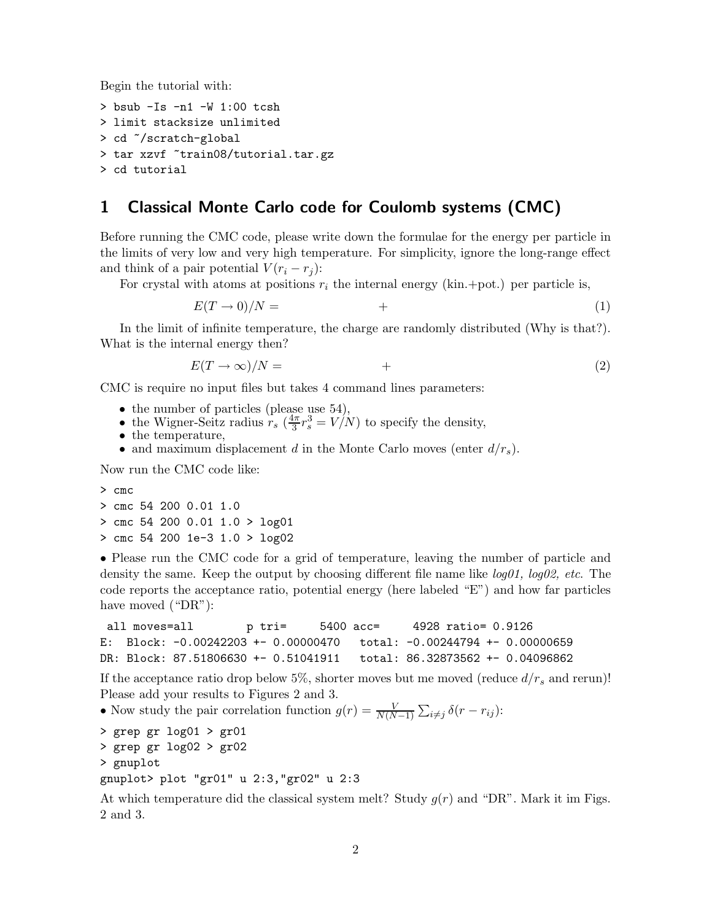Begin the tutorial with:

```
> bsub -Is -n1 -W 1:00 tcsh
> limit stacksize unlimited
> cd ~/scratch-global
> tar xzvf ~train08/tutorial.tar.gz
> cd tutorial
```
### 1 Classical Monte Carlo code for Coulomb systems (CMC)

Before running the CMC code, please write down the formulae for the energy per particle in the limits of very low and very high temperature. For simplicity, ignore the long-range effect and think of a pair potential  $V(r_i - r_j)$ :

For crystal with atoms at positions  $r_i$  the internal energy (kin.+pot.) per particle is,

$$
E(T \to 0)/N = + \tag{1}
$$

In the limit of infinite temperature, the charge are randomly distributed (Why is that?). What is the internal energy then?

$$
E(T \to \infty)/N = + \tag{2}
$$

CMC is require no input files but takes 4 command lines parameters:

- the number of particles (please use 54),
- the Wigner-Seitz radius  $r_s$   $(\frac{4\pi}{3})$  $\frac{4\pi}{3}r_s^3 = V/N$  to specify the density,
- the temperature,
- and maximum displacement d in the Monte Carlo moves (enter  $d/r_s$ ).

Now run the CMC code like:

> cmc

- > cmc 54 200 0.01 1.0
- > cmc 54 200 0.01 1.0 > log01
- > cmc 54 200 1e-3 1.0 > log02

• Please run the CMC code for a grid of temperature, leaving the number of particle and density the same. Keep the output by choosing different file name like  $log(0.1)$ ,  $log(0.2)$ , etc. The code reports the acceptance ratio, potential energy (here labeled "E") and how far particles have moved ("DR"):

```
all moves=all p tri= 5400 acc= 4928 ratio= 0.9126
E: Block: -0.00242203 +- 0.00000470 total: -0.00244794 +- 0.00000659
DR: Block: 87.51806630 +- 0.51041911 total: 86.32873562 +- 0.04096862
```
If the acceptance ratio drop below 5%, shorter moves but me moved (reduce  $d/r_s$  and rerun)! Please add your results to Figures 2 and 3.

• Now study the pair correlation function  $g(r) = \frac{V}{N(N-1)} \sum_{i \neq j} \delta(r - r_{ij})$ :

```
> grep gr log01 > gr01
> grep gr log02 > gr02
> gnuplot
gnuplot> plot "gr01" u 2:3,"gr02" u 2:3
```
At which temperature did the classical system melt? Study  $g(r)$  and "DR". Mark it im Figs. 2 and 3.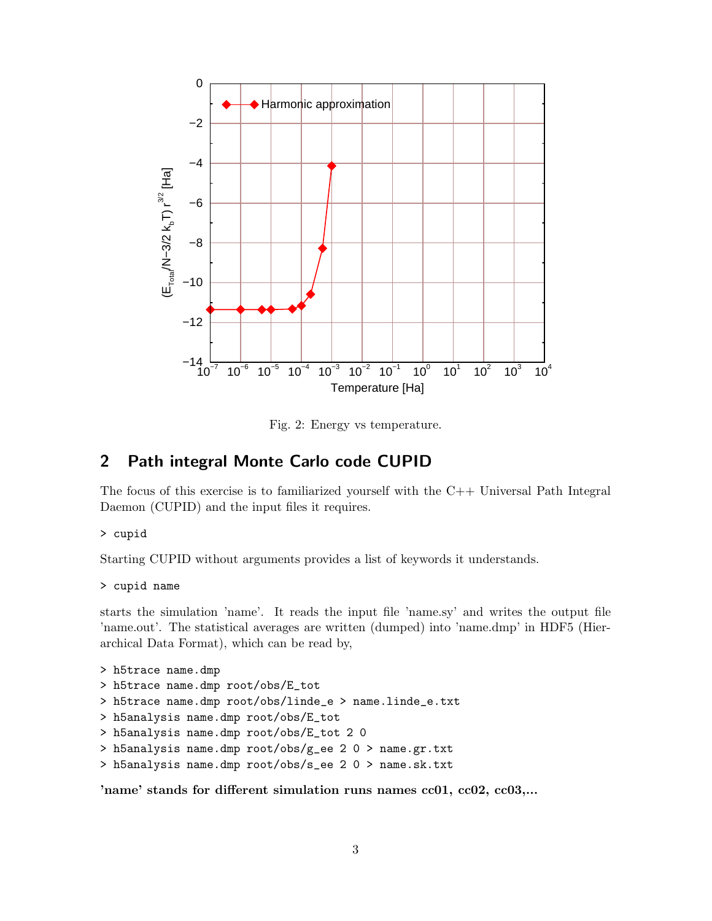

Fig. 2: Energy vs temperature.

## 2 Path integral Monte Carlo code CUPID

The focus of this exercise is to familiarized yourself with the  $C++$  Universal Path Integral Daemon (CUPID) and the input files it requires.

### > cupid

Starting CUPID without arguments provides a list of keywords it understands.

```
> cupid name
```
starts the simulation 'name'. It reads the input file 'name.sy' and writes the output file 'name.out'. The statistical averages are written (dumped) into 'name.dmp' in HDF5 (Hierarchical Data Format), which can be read by,

```
> h5trace name.dmp
> h5trace name.dmp root/obs/E_tot
> h5trace name.dmp root/obs/linde_e > name.linde_e.txt
> h5analysis name.dmp root/obs/E_tot
> h5analysis name.dmp root/obs/E_tot 2 0
> h5analysis name.dmp root/obs/g_ee 2 0 > name.gr.txt
> h5analysis name.dmp root/obs/s_ee 2 0 > name.sk.txt
```
'name' stands for different simulation runs names cc01, cc02, cc03,...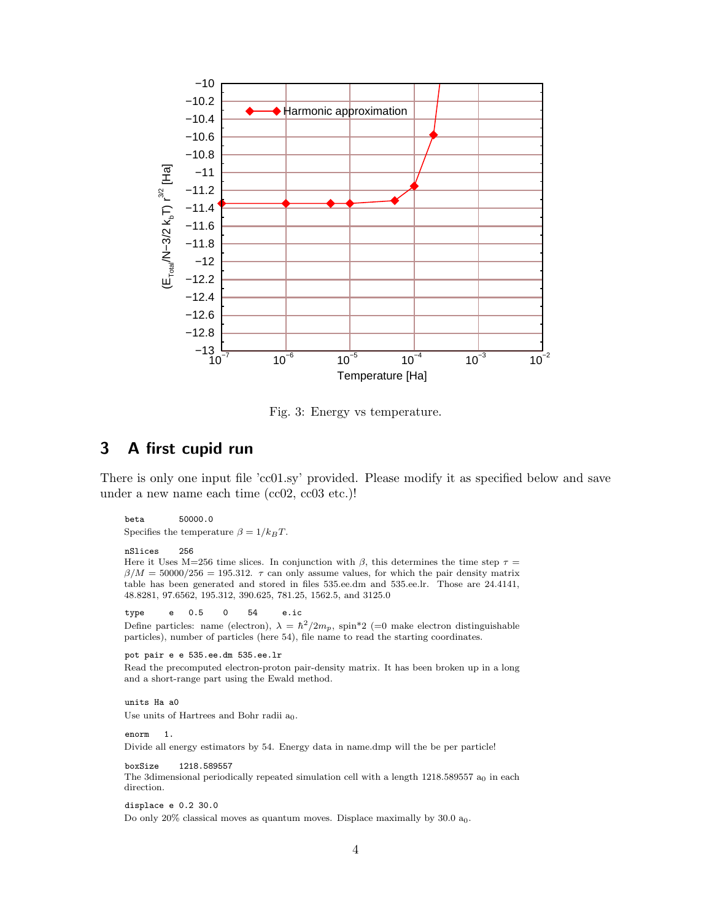

Fig. 3: Energy vs temperature.

### 3 A first cupid run

There is only one input file 'cc01.sy' provided. Please modify it as specified below and save under a new name each time (cc02, cc03 etc.)!

beta 50000.0 Specifies the temperature  $\beta = 1/k_BT$ . nSlices 256 Here it Uses M=256 time slices. In conjunction with  $\beta$ , this determines the time step  $\tau =$  $\beta/M = 50000/256 = 195.312$ .  $\tau$  can only assume values, for which the pair density matrix table has been generated and stored in files 535.ee.dm and 535.ee.lr. Those are 24.4141, 48.8281, 97.6562, 195.312, 390.625, 781.25, 1562.5, and 3125.0 type e 0.5 0 54 e.ic Define particles: name (electron),  $\lambda = \hbar^2/2m_p$ , spin<sup>\*</sup>2 (=0 make electron distinguishable particles), number of particles (here 54), file name to read the starting coordinates. pot pair e e 535.ee.dm 535.ee.lr Read the precomputed electron-proton pair-density matrix. It has been broken up in a long and a short-range part using the Ewald method. units Ha a0 Use units of Hartrees and Bohr radii  $a_0$ . enorm 1. Divide all energy estimators by 54. Energy data in name.dmp will the be per particle! boxSize 1218.589557 The 3dimensional periodically repeated simulation cell with a length 1218.589557  $a_0$  in each direction.

displace e 0.2 30.0 Do only  $20\%$  classical moves as quantum moves. Displace maximally by  $30.0$   $a_0$ .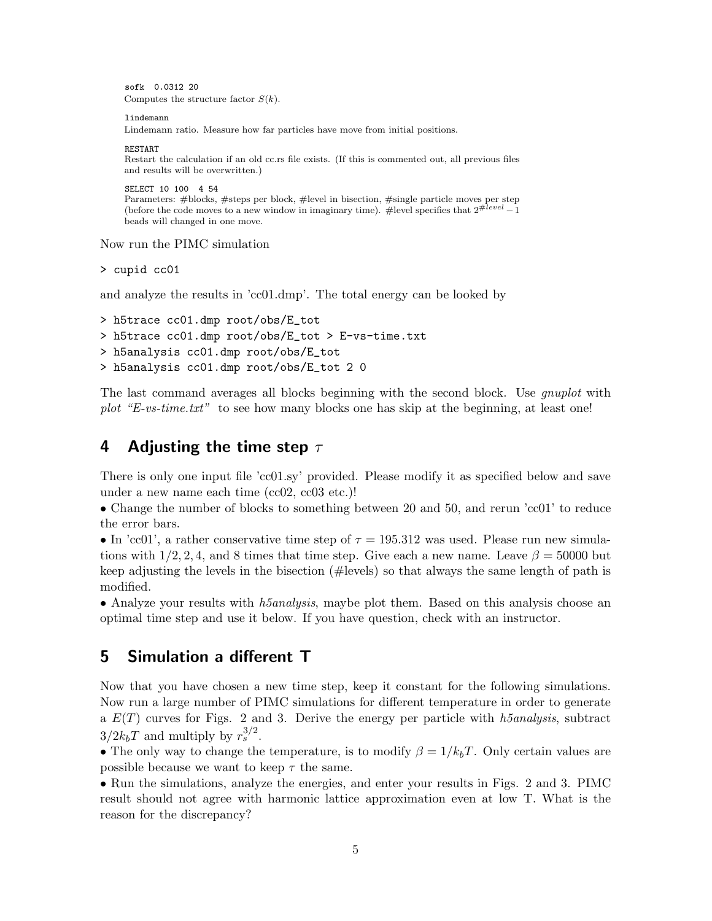sofk 0.0312 20 Computes the structure factor  $S(k)$ .

#### lindemann

Lindemann ratio. Measure how far particles have move from initial positions.

RESTART Restart the calculation if an old cc.rs file exists. (If this is commented out, all previous files and results will be overwritten.)

#### SELECT 10 100 4 54

Parameters: #blocks, #steps per block, #level in bisection, #single particle moves per step (before the code moves to a new window in imaginary time). #level specifies that  $2^{\#level} - 1$ beads will changed in one move.

Now run the PIMC simulation

> cupid cc01

and analyze the results in 'cc01.dmp'. The total energy can be looked by

```
> h5trace cc01.dmp root/obs/E_tot
```
- > h5trace cc01.dmp root/obs/E\_tot > E-vs-time.txt
- > h5analysis cc01.dmp root/obs/E\_tot
- > h5analysis cc01.dmp root/obs/E\_tot 2 0

The last command averages all blocks beginning with the second block. Use *quaplot* with plot "E-vs-time.txt" to see how many blocks one has skip at the beginning, at least one!

### 4 Adjusting the time step  $\tau$

There is only one input file 'cc01.sy' provided. Please modify it as specified below and save under a new name each time (cc02, cc03 etc.)!

• Change the number of blocks to something between 20 and 50, and rerun 'cc01' to reduce the error bars.

• In 'cc01', a rather conservative time step of  $\tau = 195.312$  was used. Please run new simulations with  $1/2$ , 2, 4, and 8 times that time step. Give each a new name. Leave  $\beta = 50000$  but keep adjusting the levels in the bisection (#levels) so that always the same length of path is modified.

• Analyze your results with *h5analysis*, maybe plot them. Based on this analysis choose an optimal time step and use it below. If you have question, check with an instructor.

### 5 Simulation a different T

Now that you have chosen a new time step, keep it constant for the following simulations. Now run a large number of PIMC simulations for different temperature in order to generate a  $E(T)$  curves for Figs. 2 and 3. Derive the energy per particle with h5analysis, subtract  $3/2k_bT$  and multiply by  $r_s^{3/2}$ .

• The only way to change the temperature, is to modify  $\beta = 1/k_bT$ . Only certain values are possible because we want to keep  $\tau$  the same.

• Run the simulations, analyze the energies, and enter your results in Figs. 2 and 3. PIMC result should not agree with harmonic lattice approximation even at low T. What is the reason for the discrepancy?